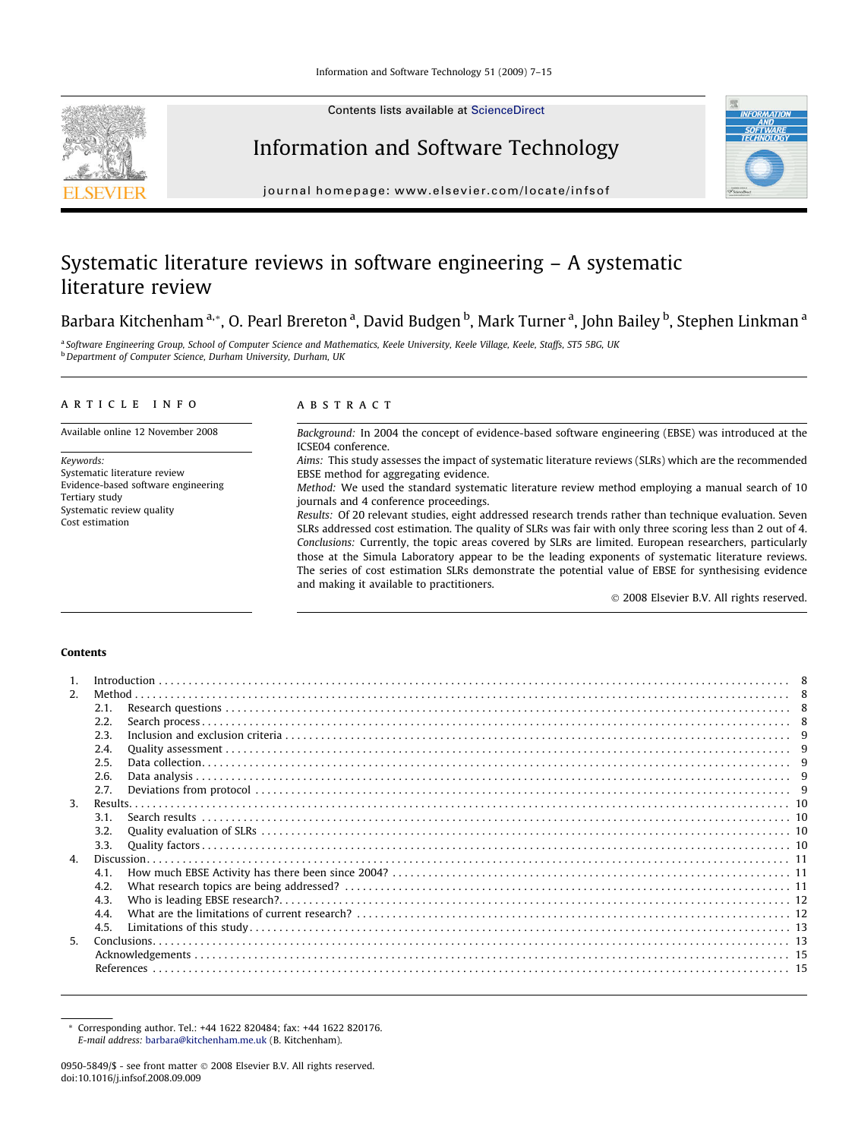

Contents lists available at [ScienceDirect](http://www.sciencedirect.com/science/journal/09505849)

## Information and Software Technology



journal homepage: www.elsevier.com/locate/infsof

# Systematic literature reviews in software engineering – A systematic literature review

## Barbara Kitchenham <sup>a,</sup>\*, O. Pearl Brereton <sup>a</sup>, David Budgen <sup>b</sup>, Mark Turner <sup>a</sup>, John Bailey <sup>b</sup>, Stephen Linkman <sup>a</sup>

a Software Engineering Group, School of Computer Science and Mathematics, Keele University, Keele Village, Keele, Staffs, ST5 5BG, UK **b** Department of Computer Science, Durham University, Durham, UK

## a r t i c l e i n f o

Available online 12 November 2008

Keywords: Systematic literature review Evidence-based software engineering Tertiary study Systematic review quality Cost estimation

## A B S T R A C T

Background: In 2004 the concept of evidence-based software engineering (EBSE) was introduced at the ICSE04 conference.

Aims: This study assesses the impact of systematic literature reviews (SLRs) which are the recommended EBSE method for aggregating evidence.

Method: We used the standard systematic literature review method employing a manual search of 10 journals and 4 conference proceedings.

Results: Of 20 relevant studies, eight addressed research trends rather than technique evaluation. Seven SLRs addressed cost estimation. The quality of SLRs was fair with only three scoring less than 2 out of 4. Conclusions: Currently, the topic areas covered by SLRs are limited. European researchers, particularly those at the Simula Laboratory appear to be the leading exponents of systematic literature reviews. The series of cost estimation SLRs demonstrate the potential value of EBSE for synthesising evidence and making it available to practitioners.

 $©$  2008 Elsevier B.V. All rights reserved.

## **Contents**

| 1.             |      |  |  |  |  |  |
|----------------|------|--|--|--|--|--|
| 2.             |      |  |  |  |  |  |
|                | 2.1. |  |  |  |  |  |
|                | 2.2. |  |  |  |  |  |
|                | 2.3. |  |  |  |  |  |
|                | 2.4. |  |  |  |  |  |
|                | 2.5. |  |  |  |  |  |
|                | 2.6. |  |  |  |  |  |
|                | 2.7. |  |  |  |  |  |
| 3 <sub>1</sub> |      |  |  |  |  |  |
|                |      |  |  |  |  |  |
|                | 3.1. |  |  |  |  |  |
|                | 3.2. |  |  |  |  |  |
|                | 3.3. |  |  |  |  |  |
| $\mathbf{A}$   |      |  |  |  |  |  |
|                | 4.1. |  |  |  |  |  |
|                | 4.2. |  |  |  |  |  |
|                | 4.3. |  |  |  |  |  |
|                | 4.4. |  |  |  |  |  |
|                | 4.5. |  |  |  |  |  |
| 5.             |      |  |  |  |  |  |
|                |      |  |  |  |  |  |
|                |      |  |  |  |  |  |
|                |      |  |  |  |  |  |

Corresponding author. Tel.: +44 1622 820484; fax: +44 1622 820176. E-mail address: [barbara@kitchenham.me.uk](mailto:barbara@kitchenham.me.uk) (B. Kitchenham).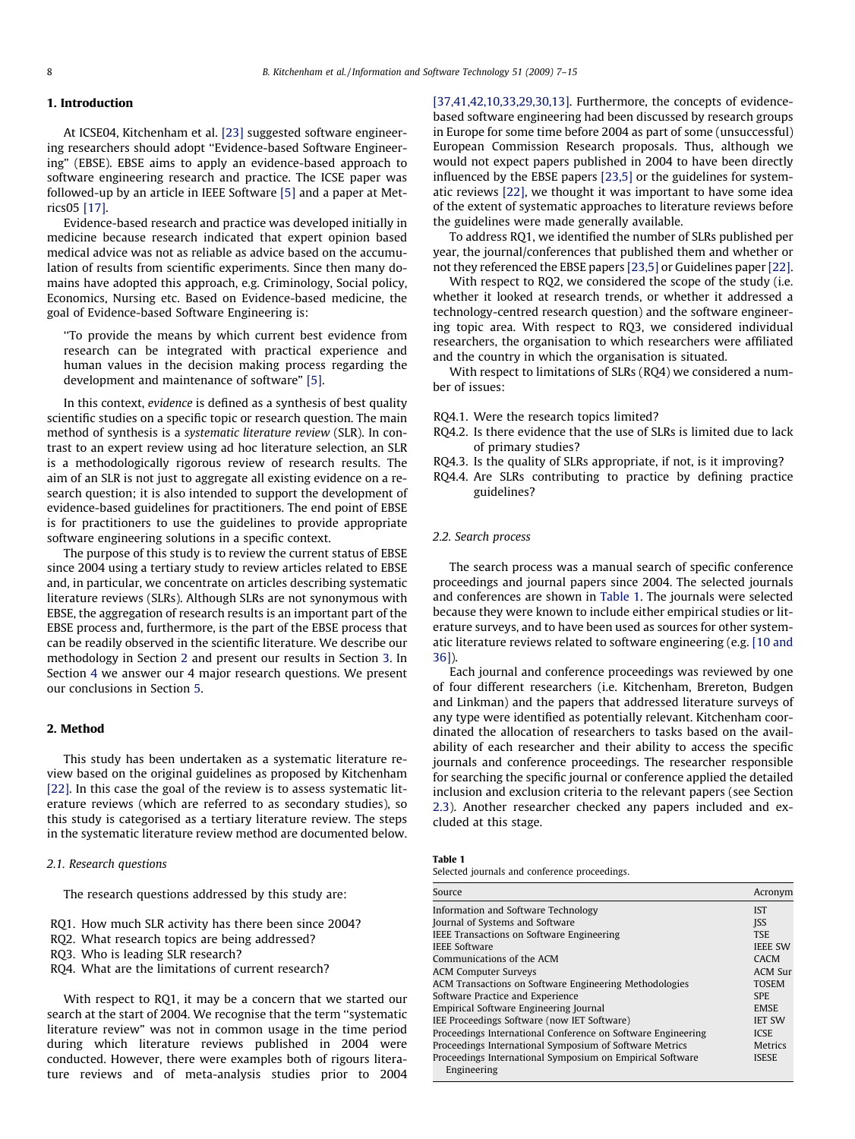## 1. Introduction

At ICSE04, Kitchenham et al. [\[23\]](#page-8-0) suggested software engineering researchers should adopt ''Evidence-based Software Engineering" (EBSE). EBSE aims to apply an evidence-based approach to software engineering research and practice. The ICSE paper was followed-up by an article in IEEE Software [\[5\]](#page-8-0) and a paper at Metrics05 [\[17\].](#page-8-0)

Evidence-based research and practice was developed initially in medicine because research indicated that expert opinion based medical advice was not as reliable as advice based on the accumulation of results from scientific experiments. Since then many domains have adopted this approach, e.g. Criminology, Social policy, Economics, Nursing etc. Based on Evidence-based medicine, the goal of Evidence-based Software Engineering is:

''To provide the means by which current best evidence from research can be integrated with practical experience and human values in the decision making process regarding the development and maintenance of software" [\[5\]](#page-8-0).

In this context, evidence is defined as a synthesis of best quality scientific studies on a specific topic or research question. The main method of synthesis is a systematic literature review (SLR). In contrast to an expert review using ad hoc literature selection, an SLR is a methodologically rigorous review of research results. The aim of an SLR is not just to aggregate all existing evidence on a research question; it is also intended to support the development of evidence-based guidelines for practitioners. The end point of EBSE is for practitioners to use the guidelines to provide appropriate software engineering solutions in a specific context.

The purpose of this study is to review the current status of EBSE since 2004 using a tertiary study to review articles related to EBSE and, in particular, we concentrate on articles describing systematic literature reviews (SLRs). Although SLRs are not synonymous with EBSE, the aggregation of research results is an important part of the EBSE process and, furthermore, is the part of the EBSE process that can be readily observed in the scientific literature. We describe our methodology in Section [2](#page-1-0) and present our results in Section [3](#page-3-0). In Section [4](#page-4-0) we answer our 4 major research questions. We present our conclusions in Section [5.](#page-6-0)

## 2. Method

This study has been undertaken as a systematic literature review based on the original guidelines as proposed by Kitchenham [\[22\]](#page-8-0). In this case the goal of the review is to assess systematic literature reviews (which are referred to as secondary studies), so this study is categorised as a tertiary literature review. The steps in the systematic literature review method are documented below.

#### 2.1. Research questions

The research questions addressed by this study are:

- RQ1. How much SLR activity has there been since 2004?
- RQ2. What research topics are being addressed?
- RQ3. Who is leading SLR research?
- RQ4. What are the limitations of current research?

<span id="page-1-0"></span>With respect to RQ1, it may be a concern that we started our search at the start of 2004. We recognise that the term ''systematic literature review" was not in common usage in the time period during which literature reviews published in 2004 were conducted. However, there were examples both of rigours literature reviews and of meta-analysis studies prior to 2004 [\[37,41,42,10,33,29,30,13\].](#page-8-0) Furthermore, the concepts of evidencebased software engineering had been discussed by research groups in Europe for some time before 2004 as part of some (unsuccessful) European Commission Research proposals. Thus, although we would not expect papers published in 2004 to have been directly influenced by the EBSE papers [\[23,5\]](#page-8-0) or the guidelines for systematic reviews [\[22\],](#page-8-0) we thought it was important to have some idea of the extent of systematic approaches to literature reviews before the guidelines were made generally available.

To address RQ1, we identified the number of SLRs published per year, the journal/conferences that published them and whether or not they referenced the EBSE papers [\[23,5\]](#page-8-0) or Guidelines paper [\[22\].](#page-8-0)

With respect to RQ2, we considered the scope of the study (i.e. whether it looked at research trends, or whether it addressed a technology-centred research question) and the software engineering topic area. With respect to RQ3, we considered individual researchers, the organisation to which researchers were affiliated and the country in which the organisation is situated.

With respect to limitations of SLRs (RQ4) we considered a number of issues:

- RQ4.1. Were the research topics limited?
- RQ4.2. Is there evidence that the use of SLRs is limited due to lack of primary studies?
- RQ4.3. Is the quality of SLRs appropriate, if not, is it improving?
- RQ4.4. Are SLRs contributing to practice by defining practice guidelines?

#### 2.2. Search process

The search process was a manual search of specific conference proceedings and journal papers since 2004. The selected journals and conferences are shown in [Table 1](#page-1-0). The journals were selected because they were known to include either empirical studies or literature surveys, and to have been used as sources for other systematic literature reviews related to software engineering (e.g. [\[10 and](#page-8-0) [36\]](#page-8-0)).

Each journal and conference proceedings was reviewed by one of four different researchers (i.e. Kitchenham, Brereton, Budgen and Linkman) and the papers that addressed literature surveys of any type were identified as potentially relevant. Kitchenham coordinated the allocation of researchers to tasks based on the availability of each researcher and their ability to access the specific journals and conference proceedings. The researcher responsible for searching the specific journal or conference applied the detailed inclusion and exclusion criteria to the relevant papers (see Section [2.3](#page-2-0)). Another researcher checked any papers included and excluded at this stage.

Table 1

Selected journals and conference proceedings.

| Source                                                                   | Acronym        |
|--------------------------------------------------------------------------|----------------|
| Information and Software Technology                                      | <b>IST</b>     |
| Journal of Systems and Software                                          | <b>ISS</b>     |
| IEEE Transactions on Software Engineering                                | <b>TSE</b>     |
| <b>IEEE Software</b>                                                     | <b>IEEE SW</b> |
| Communications of the ACM                                                | <b>CACM</b>    |
| <b>ACM Computer Surveys</b>                                              | <b>ACM Sur</b> |
| ACM Transactions on Software Engineering Methodologies                   | <b>TOSEM</b>   |
| Software Practice and Experience                                         | <b>SPE</b>     |
| Empirical Software Engineering Journal                                   | <b>EMSE</b>    |
| IEE Proceedings Software (now IET Software)                              | <b>IET SW</b>  |
| Proceedings International Conference on Software Engineering             | <b>ICSE</b>    |
| Proceedings International Symposium of Software Metrics                  | <b>Metrics</b> |
| Proceedings International Symposium on Empirical Software<br>Engineering | <b>ISESE</b>   |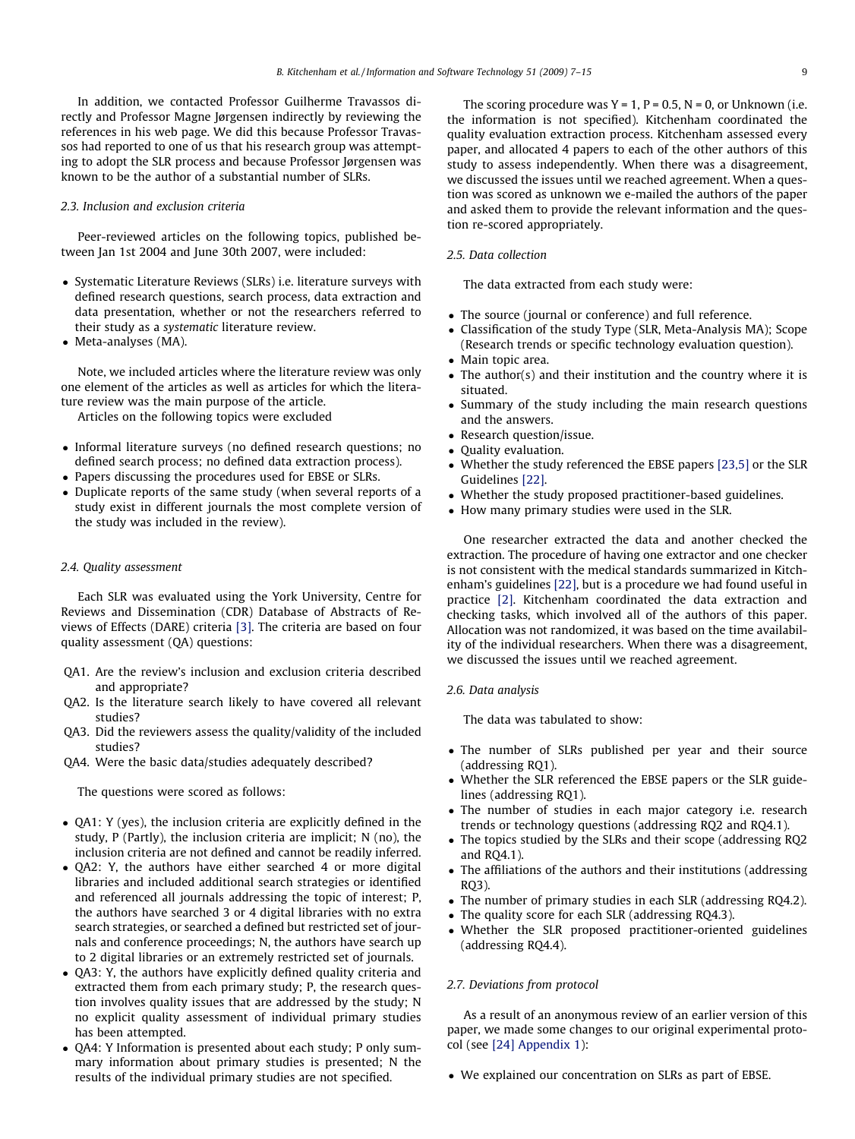In addition, we contacted Professor Guilherme Travassos directly and Professor Magne Jørgensen indirectly by reviewing the references in his web page. We did this because Professor Travassos had reported to one of us that his research group was attempting to adopt the SLR process and because Professor Jørgensen was known to be the author of a substantial number of SLRs.

#### 2.3. Inclusion and exclusion criteria

Peer-reviewed articles on the following topics, published between Jan 1st 2004 and June 30th 2007, were included:

- ! Systematic Literature Reviews (SLRs) i.e. literature surveys with defined research questions, search process, data extraction and data presentation, whether or not the researchers referred to their study as a systematic literature review.
- Meta-analyses (MA).

Note, we included articles where the literature review was only one element of the articles as well as articles for which the literature review was the main purpose of the article.

Articles on the following topics were excluded

- Informal literature surveys (no defined research questions; no defined search process; no defined data extraction process).
- ! Papers discussing the procedures used for EBSE or SLRs.
- Duplicate reports of the same study (when several reports of a study exist in different journals the most complete version of the study was included in the review).

## 2.4. Quality assessment

Each SLR was evaluated using the York University, Centre for Reviews and Dissemination (CDR) Database of Abstracts of Reviews of Effects (DARE) criteria [\[3\]](#page-8-0). The criteria are based on four quality assessment (QA) questions:

- QA1. Are the review's inclusion and exclusion criteria described and appropriate?
- QA2. Is the literature search likely to have covered all relevant studies?
- QA3. Did the reviewers assess the quality/validity of the included studies?
- QA4. Were the basic data/studies adequately described?

The questions were scored as follows:

- QA1: Y (yes), the inclusion criteria are explicitly defined in the study, P (Partly), the inclusion criteria are implicit; N (no), the inclusion criteria are not defined and cannot be readily inferred.
- ! QA2: Y, the authors have either searched 4 or more digital libraries and included additional search strategies or identified and referenced all journals addressing the topic of interest; P, the authors have searched 3 or 4 digital libraries with no extra search strategies, or searched a defined but restricted set of journals and conference proceedings; N, the authors have search up to 2 digital libraries or an extremely restricted set of journals.
- ! QA3: Y, the authors have explicitly defined quality criteria and extracted them from each primary study; P, the research question involves quality issues that are addressed by the study; N no explicit quality assessment of individual primary studies has been attempted.
- <span id="page-2-0"></span>! QA4: Y Information is presented about each study; P only summary information about primary studies is presented; N the results of the individual primary studies are not specified.

The scoring procedure was  $Y = 1$ ,  $P = 0.5$ ,  $N = 0$ , or Unknown (i.e. the information is not specified). Kitchenham coordinated the quality evaluation extraction process. Kitchenham assessed every paper, and allocated 4 papers to each of the other authors of this study to assess independently. When there was a disagreement, we discussed the issues until we reached agreement. When a question was scored as unknown we e-mailed the authors of the paper and asked them to provide the relevant information and the question re-scored appropriately.

### 2.5. Data collection

The data extracted from each study were:

- The source (journal or conference) and full reference.<br>• Classification of the study Type (SLR. Meta-Analysis M
- ! Classification of the study Type (SLR, Meta-Analysis MA); Scope (Research trends or specific technology evaluation question).
- . Main topic area.
- $\bullet$  The author(s) and their institution and the country where it is situated.
- ! Summary of the study including the main research questions and the answers.
- Research question/issue.
- Quality evaluation.
- ! Whether the study referenced the EBSE papers [\[23,5\]](#page-8-0) or the SLR Guidelines [\[22\]](#page-8-0).
- Whether the study proposed practitioner-based guidelines.
- ! How many primary studies were used in the SLR.

One researcher extracted the data and another checked the extraction. The procedure of having one extractor and one checker is not consistent with the medical standards summarized in Kitchenham's guidelines [\[22\],](#page-8-0) but is a procedure we had found useful in practice [\[2\].](#page-8-0) Kitchenham coordinated the data extraction and checking tasks, which involved all of the authors of this paper. Allocation was not randomized, it was based on the time availability of the individual researchers. When there was a disagreement, we discussed the issues until we reached agreement.

#### 2.6. Data analysis

The data was tabulated to show:

- The number of SLRs published per year and their source (addressing RQ1).
- ! Whether the SLR referenced the EBSE papers or the SLR guidelines (addressing RQ1).
- The number of studies in each major category i.e. research trends or technology questions (addressing RQ2 and RQ4.1).
- The topics studied by the SLRs and their scope (addressing RQ2 and  $RO4.1$ ).
- The affiliations of the authors and their institutions (addressing  $RO3$ ).
- The number of primary studies in each SLR (addressing RQ4.2).
- The quality score for each SLR (addressing RQ4.3).
- ! Whether the SLR proposed practitioner-oriented guidelines (addressing RQ4.4).

### 2.7. Deviations from protocol

As a result of an anonymous review of an earlier version of this paper, we made some changes to our original experimental protocol (see [\[24\]](#page-8-0) Appendix 1):

! We explained our concentration on SLRs as part of EBSE.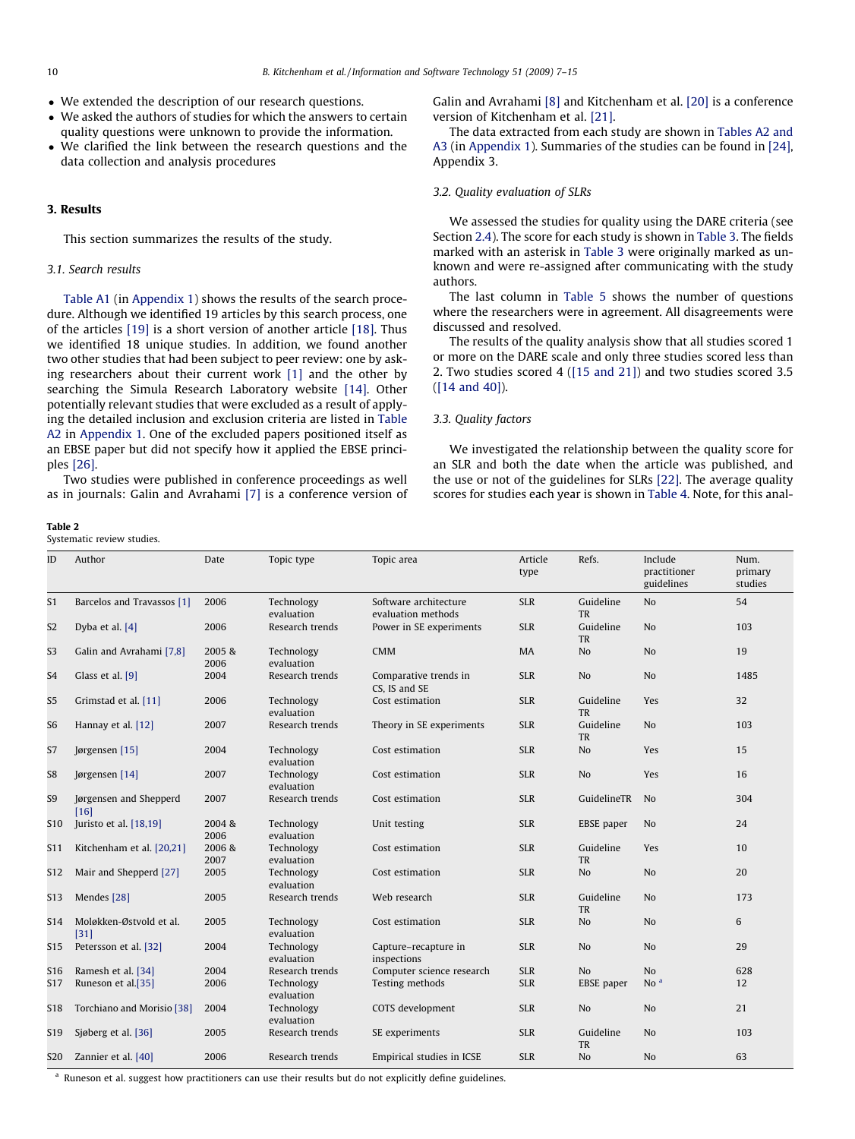- We extended the description of our research questions.
- We asked the authors of studies for which the answers to certain quality questions were unknown to provide the information.
- We clarified the link between the research questions and the data collection and analysis procedures

## 3. Results

This section summarizes the results of the study.

## 3.1. Search results

[Table A1](#page-5-0) (in Appendix 1) shows the results of the search procedure. Although we identified 19 articles by this search process, one of the articles [\[19\]](#page-8-0) is a short version of another article [\[18\].](#page-8-0) Thus we identified 18 unique studies. In addition, we found another two other studies that had been subject to peer review: one by asking researchers about their current work [\[1\]](#page-8-0) and the other by searching the Simula Research Laboratory website [\[14\].](#page-8-0) Other potentially relevant studies that were excluded as a result of applying the detailed inclusion and exclusion criteria are listed in [Table](#page-6-0) [A2](#page-6-0) in Appendix 1. One of the excluded papers positioned itself as an EBSE paper but did not specify how it applied the EBSE principles [\[26\]](#page-8-0).

Two studies were published in conference proceedings as well as in journals: Galin and Avrahami [\[7\]](#page-8-0) is a conference version of

#### Table 2

Systematic review studies.

Galin and Avrahami [\[8\]](#page-8-0) and Kitchenham et al. [\[20\]](#page-8-0) is a conference version of Kitchenham et al. [\[21\]](#page-8-0).

The data extracted from each study are shown in [Tables A2 and](#page-6-0) [A3](#page-6-0) (in Appendix 1). Summaries of the studies can be found in [\[24\],](#page-8-0) Appendix 3.

## 3.2. Quality evaluation of SLRs

We assessed the studies for quality using the DARE criteria (see Section [2.4\)](#page-2-0). The score for each study is shown in [Table 3.](#page-4-0) The fields marked with an asterisk in [Table 3](#page-4-0) were originally marked as unknown and were re-assigned after communicating with the study authors.

The last column in [Table 5](#page-4-0) shows the number of questions where the researchers were in agreement. All disagreements were discussed and resolved.

The results of the quality analysis show that all studies scored 1 or more on the DARE scale and only three studies scored less than 2. Two studies scored 4 ([\[15 and 21\]](#page-8-0)) and two studies scored 3.5 ([\[14 and 40\]](#page-8-0)).

## 3.3. Quality factors

We investigated the relationship between the quality score for an SLR and both the date when the article was published, and the use or not of the guidelines for SLRs [\[22\]](#page-8-0). The average quality scores for studies each year is shown in [Table 4.](#page-4-0) Note, for this anal-

| ID             | Author                            | Date           | Topic type               | Topic area                                  | Article<br>type | Refs.                  | Include<br>practitioner<br>guidelines | Num.<br>primary<br>studies |
|----------------|-----------------------------------|----------------|--------------------------|---------------------------------------------|-----------------|------------------------|---------------------------------------|----------------------------|
| S <sub>1</sub> | Barcelos and Travassos [1]        | 2006           | Technology<br>evaluation | Software architecture<br>evaluation methods | <b>SLR</b>      | Guideline<br><b>TR</b> | N <sub>o</sub>                        | 54                         |
| S <sub>2</sub> | Dyba et al. [4]                   | 2006           | Research trends          | Power in SE experiments                     | <b>SLR</b>      | Guideline<br><b>TR</b> | N <sub>0</sub>                        | 103                        |
| S <sub>3</sub> | Galin and Avrahami [7,8]          | 2005 &<br>2006 | Technology<br>evaluation | <b>CMM</b>                                  | <b>MA</b>       | N <sub>o</sub>         | N <sub>o</sub>                        | 19                         |
| S4             | Glass et al. [9]                  | 2004           | Research trends          | Comparative trends in<br>CS. IS and SE      | <b>SLR</b>      | N <sub>o</sub>         | N <sub>o</sub>                        | 1485                       |
| S <sub>5</sub> | Grimstad et al. [11]              | 2006           | Technology<br>evaluation | Cost estimation                             | <b>SLR</b>      | Guideline<br><b>TR</b> | Yes                                   | 32                         |
| S <sub>6</sub> | Hannay et al. [12]                | 2007           | Research trends          | Theory in SE experiments                    | <b>SLR</b>      | Guideline<br>TR        | N <sub>0</sub>                        | 103                        |
| S7             | Jørgensen [15]                    | 2004           | Technology<br>evaluation | Cost estimation                             | <b>SLR</b>      | No                     | Yes                                   | 15                         |
| S <sub>8</sub> | Jørgensen [14]                    | 2007           | Technology<br>evaluation | Cost estimation                             | <b>SLR</b>      | N <sub>o</sub>         | Yes                                   | 16                         |
| S <sub>9</sub> | Jørgensen and Shepperd<br>[16]    | 2007           | Research trends          | Cost estimation                             | <b>SLR</b>      | GuidelineTR            | N <sub>o</sub>                        | 304                        |
| S10            | Juristo et al. [18,19]            | 2004 &<br>2006 | Technology<br>evaluation | Unit testing                                | <b>SLR</b>      | EBSE paper             | N <sub>o</sub>                        | 24                         |
| S11            | Kitchenham et al. [20,21]         | 2006 &<br>2007 | Technology<br>evaluation | Cost estimation                             | <b>SLR</b>      | Guideline<br><b>TR</b> | Yes                                   | 10                         |
| S12            | Mair and Shepperd [27]            | 2005           | Technology<br>evaluation | Cost estimation                             | <b>SLR</b>      | No                     | N <sub>o</sub>                        | 20                         |
| S13            | Mendes [28]                       | 2005           | Research trends          | Web research                                | <b>SLR</b>      | Guideline<br>TR        | N <sub>0</sub>                        | 173                        |
| S14            | Moløkken-Østvold et al.<br>$[31]$ | 2005           | Technology<br>evaluation | Cost estimation                             | <b>SLR</b>      | N <sub>o</sub>         | N <sub>o</sub>                        | 6                          |
| S15            | Petersson et al. [32]             | 2004           | Technology<br>evaluation | Capture-recapture in<br>inspections         | <b>SLR</b>      | N <sub>o</sub>         | N <sub>o</sub>                        | 29                         |
| S16            | Ramesh et al. [34]                | 2004           | Research trends          | Computer science research                   | <b>SLR</b>      | No                     | No                                    | 628                        |
| S17            | Runeson et al.[35]                | 2006           | Technology<br>evaluation | Testing methods                             | <b>SLR</b>      | EBSE paper             | No <sup>a</sup>                       | 12                         |
| S18            | Torchiano and Morisio [38]        | 2004           | Technology<br>evaluation | COTS development                            | <b>SLR</b>      | N <sub>o</sub>         | N <sub>0</sub>                        | 21                         |
| S19            | Sjøberg et al. [36]               | 2005           | Research trends          | SE experiments                              | <b>SLR</b>      | Guideline<br><b>TR</b> | N <sub>0</sub>                        | 103                        |
| S20            | Zannier et al. [40]               | 2006           | Research trends          | Empirical studies in ICSE                   | <b>SLR</b>      | N <sub>o</sub>         | N <sub>o</sub>                        | 63                         |

<span id="page-3-0"></span><sup>a</sup> Runeson et al. suggest how practitioners can use their results but do not explicitly define guidelines.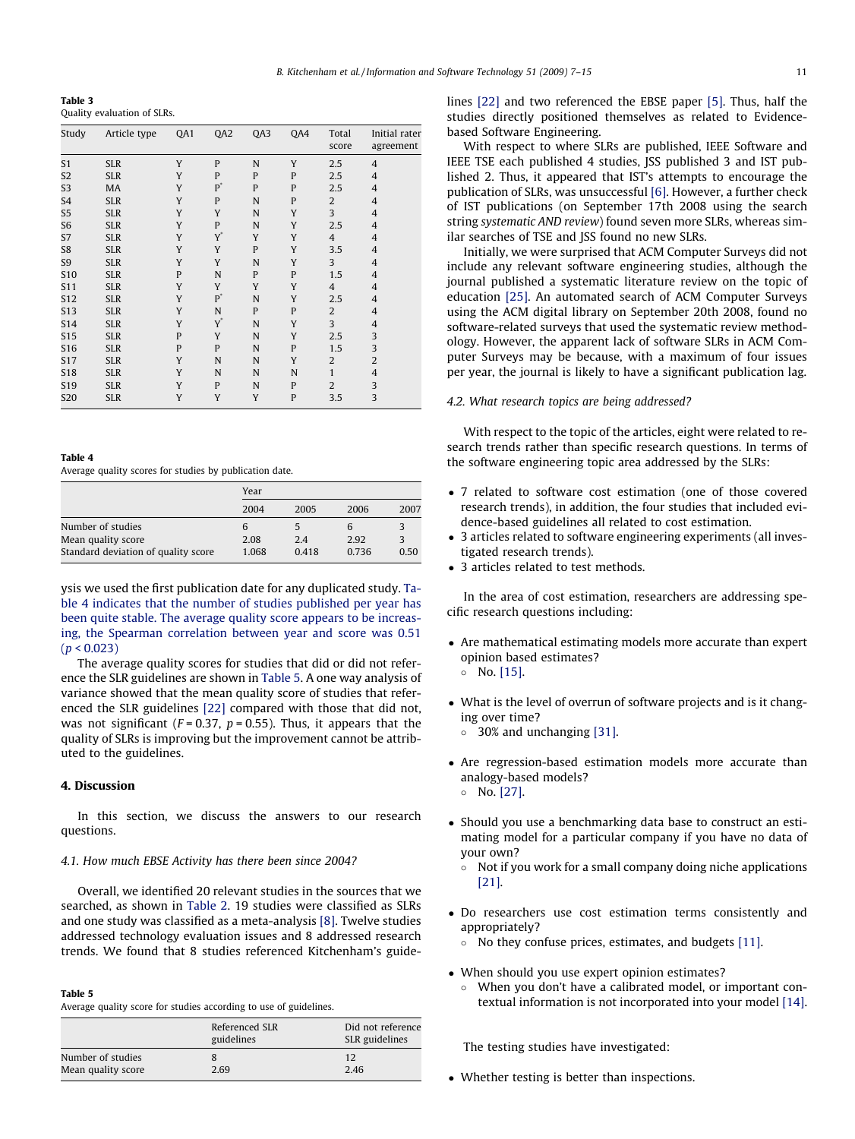Table 3 Quality evaluation of SLRs.

| Study          | Article type | QA1 | QA2   | QA3          | QA4 | Total<br>score | Initial rater<br>agreement |
|----------------|--------------|-----|-------|--------------|-----|----------------|----------------------------|
| S1             | <b>SLR</b>   | Y   | P     | N            | Y   | 2.5            | $\overline{4}$             |
| S <sub>2</sub> | <b>SLR</b>   | Y   | P     | P            | P   | 2.5            | $\overline{4}$             |
| S <sub>3</sub> | MA           | Y   | $P^*$ | P            | P   | 2.5            | 4                          |
| S4             | <b>SLR</b>   | Y   | P     | N            | P   | 2              | $\overline{4}$             |
| S <sub>5</sub> | <b>SLR</b>   | Y   | Y     | N            | Y   | 3              | $\overline{4}$             |
| S <sub>6</sub> | <b>SLR</b>   | Y   | P     | N            | Y   | 2.5            | $\overline{4}$             |
| S7             | <b>SLR</b>   | Y   | $Y^*$ | Y            | Y   | 4              | 4                          |
| S8             | <b>SLR</b>   | Y   | Y     | P            | Y   | 3.5            | 4                          |
| S9             | <b>SLR</b>   | Y   | Y     | N            | Y   | 3              | $\overline{4}$             |
| S10            | <b>SLR</b>   | P   | N     | $\mathbf{P}$ | P   | 1.5            | $\overline{4}$             |
| S11            | <b>SLR</b>   | Y   | Y     | Y            | Y   | $\overline{4}$ | $\overline{4}$             |
| S12            | <b>SLR</b>   | Y   | $P^*$ | N            | Y   | 2.5            | 4                          |
| S13            | <b>SLR</b>   | Y   | N     | P            | P   | $\overline{2}$ | $\overline{4}$             |
| S14            | <b>SLR</b>   | Y   | $Y^*$ | N            | Y   | 3              | $\overline{4}$             |
| S15            | <b>SLR</b>   | P   | Y     | N            | Y   | 2.5            | 3                          |
| S16            | <b>SLR</b>   | P   | P     | N            | P   | 1.5            | 3                          |
| S17            | <b>SLR</b>   | Y   | N     | N            | Y   | $\overline{2}$ | $\overline{2}$             |
| S18            | <b>SLR</b>   | Y   | N     | N            | N   | $\mathbf{1}$   | $\overline{4}$             |
| S19            | <b>SLR</b>   | Y   | P     | N            | P   | $\overline{2}$ | 3                          |
| S20            | <b>SLR</b>   | Y   | Y     | Y            | P   | 3.5            | 3                          |

#### Table 4

Average quality scores for studies by publication date.

|                                     | Year  |       |       |      |  |
|-------------------------------------|-------|-------|-------|------|--|
|                                     | 2004  | 2005  | 2006  | 2007 |  |
| Number of studies                   | 6     |       | 6     |      |  |
| Mean quality score                  | 2.08  | 2.4   | 2.92  |      |  |
| Standard deviation of quality score | 1.068 | 0.418 | 0.736 | 0.50 |  |

ysis we used the first publication date for any duplicated study. [Ta](#page-4-0)[ble 4 indicates that the number of studies published per year has](#page-4-0) [been quite stable. The average quality score appears to be increas](#page-4-0)[ing, the Spearman correlation between year and score was 0.51](#page-4-0)  $(p < 0.023)$  $(p < 0.023)$  $(p < 0.023)$  $(p < 0.023)$ 

The average quality scores for studies that did or did not reference the SLR guidelines are shown in [Table 5](#page-4-0). A one way analysis of variance showed that the mean quality score of studies that referenced the SLR guidelines [\[22\]](#page-8-0) compared with those that did not, was not significant ( $F = 0.37$ ,  $p = 0.55$ ). Thus, it appears that the quality of SLRs is improving but the improvement cannot be attributed to the guidelines.

### 4. Discussion

In this section, we discuss the answers to our research questions.

#### 4.1. How much EBSE Activity has there been since 2004?

Overall, we identified 20 relevant studies in the sources that we searched, as shown in [Table 2.](#page-3-0) 19 studies were classified as SLRs and one study was classified as a meta-analysis [\[8\].](#page-8-0) Twelve studies addressed technology evaluation issues and 8 addressed research trends. We found that 8 studies referenced Kitchenham's guide-

#### Table 5

Average quality score for studies according to use of guidelines.

<span id="page-4-0"></span>

|                                         | Referenced SLR<br>guidelines | Did not reference<br>SLR guidelines |
|-----------------------------------------|------------------------------|-------------------------------------|
| Number of studies<br>Mean quality score | 2.69                         | 12<br>2.46                          |

lines [\[22\]](#page-8-0) and two referenced the EBSE paper [\[5\].](#page-8-0) Thus, half the studies directly positioned themselves as related to Evidencebased Software Engineering.

With respect to where SLRs are published, IEEE Software and IEEE TSE each published 4 studies, JSS published 3 and IST published 2. Thus, it appeared that IST's attempts to encourage the publication of SLRs, was unsuccessful [\[6\]](#page-8-0). However, a further check of IST publications (on September 17th 2008 using the search string systematic AND review) found seven more SLRs, whereas similar searches of TSE and JSS found no new SLRs.

Initially, we were surprised that ACM Computer Surveys did not include any relevant software engineering studies, although the journal published a systematic literature review on the topic of education [\[25\].](#page-8-0) An automated search of ACM Computer Surveys using the ACM digital library on September 20th 2008, found no software-related surveys that used the systematic review methodology. However, the apparent lack of software SLRs in ACM Computer Surveys may be because, with a maximum of four issues per year, the journal is likely to have a significant publication lag.

### 4.2. What research topics are being addressed?

With respect to the topic of the articles, eight were related to research trends rather than specific research questions. In terms of the software engineering topic area addressed by the SLRs:

- 7 related to software cost estimation (one of those covered research trends), in addition, the four studies that included evidence-based guidelines all related to cost estimation.
- 3 articles related to software engineering experiments (all investigated research trends).
- 3 articles related to test methods.

In the area of cost estimation, researchers are addressing specific research questions including:

- Are mathematical estimating models more accurate than expert opinion based estimates?
	- $\circ$  No. [\[15\].](#page-8-0)
- What is the level of overrun of software projects and is it changing over time?
	- $\circ$  30% and unchanging [\[31\]](#page-8-0).
- Are regression-based estimation models more accurate than analogy-based models?  $\circ$  No. [\[27\].](#page-8-0)
- ! Should you use a benchmarking data base to construct an estimating model for a particular company if you have no data of your own?
	- $\circ$  Not if you work for a small company doing niche applications [\[21\].](#page-8-0)
- ! Do researchers use cost estimation terms consistently and appropriately?
	- $\circ$  No they confuse prices, estimates, and budgets [\[11\].](#page-8-0)
- ! When should you use expert opinion estimates?
	- $\circ$  When you don't have a calibrated model, or important contextual information is not incorporated into your model [\[14\].](#page-8-0)

The testing studies have investigated:

• Whether testing is better than inspections.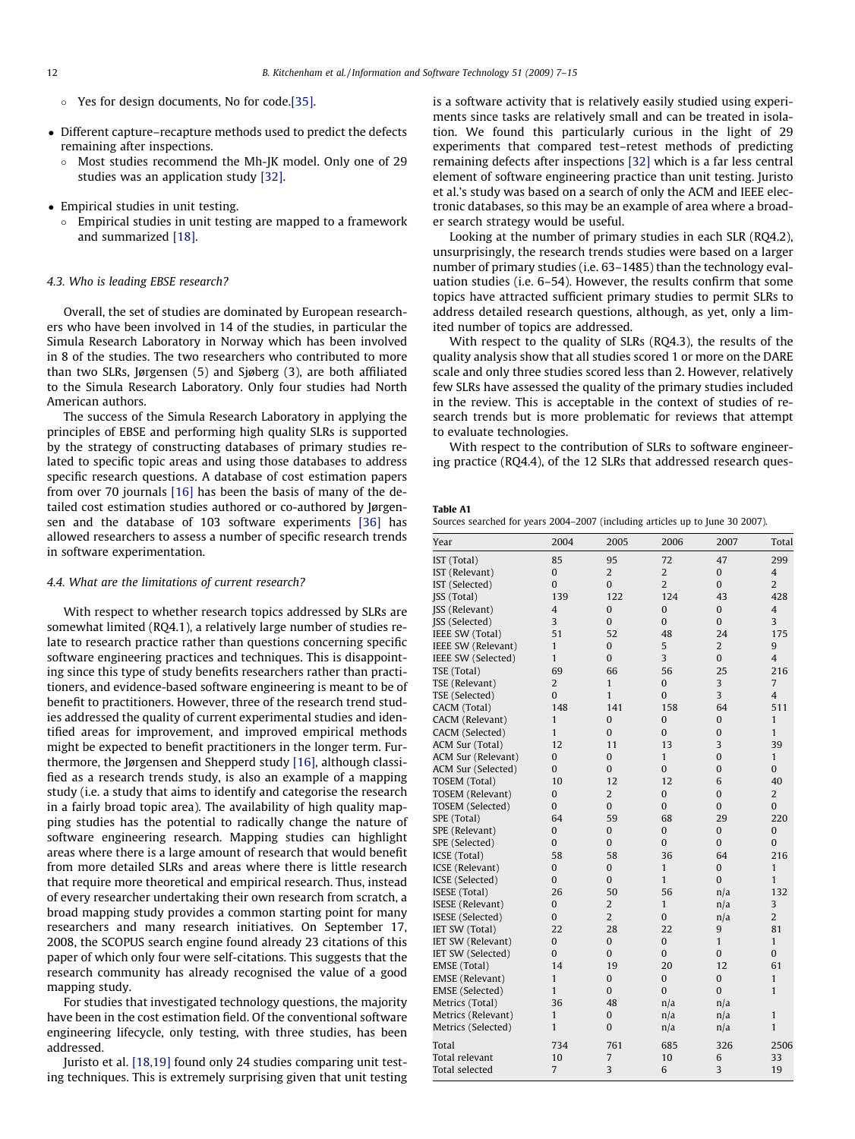- $\circ$  Yes for design documents. No for code.[\[35\]](#page-8-0).
- Different capture–recapture methods used to predict the defects remaining after inspections.
	- o Most studies recommend the Mh-JK model. Only one of 29 studies was an application study [\[32\]](#page-8-0).
- Empirical studies in unit testing.
	- $\circ$  Empirical studies in unit testing are mapped to a framework and summarized [\[18\]](#page-8-0).

## 4.3. Who is leading EBSE research?

Overall, the set of studies are dominated by European researchers who have been involved in 14 of the studies, in particular the Simula Research Laboratory in Norway which has been involved in 8 of the studies. The two researchers who contributed to more than two SLRs, Jørgensen (5) and Sjøberg (3), are both affiliated to the Simula Research Laboratory. Only four studies had North American authors.

The success of the Simula Research Laboratory in applying the principles of EBSE and performing high quality SLRs is supported by the strategy of constructing databases of primary studies related to specific topic areas and using those databases to address specific research questions. A database of cost estimation papers from over 70 journals [\[16\]](#page-8-0) has been the basis of many of the detailed cost estimation studies authored or co-authored by Jørgensen and the database of 103 software experiments [\[36\]](#page-8-0) has allowed researchers to assess a number of specific research trends in software experimentation.

#### 4.4. What are the limitations of current research?

With respect to whether research topics addressed by SLRs are somewhat limited (RQ4.1), a relatively large number of studies relate to research practice rather than questions concerning specific software engineering practices and techniques. This is disappointing since this type of study benefits researchers rather than practitioners, and evidence-based software engineering is meant to be of benefit to practitioners. However, three of the research trend studies addressed the quality of current experimental studies and identified areas for improvement, and improved empirical methods might be expected to benefit practitioners in the longer term. Furthermore, the Jørgensen and Shepperd study [\[16\],](#page-8-0) although classified as a research trends study, is also an example of a mapping study (i.e. a study that aims to identify and categorise the research in a fairly broad topic area). The availability of high quality mapping studies has the potential to radically change the nature of software engineering research. Mapping studies can highlight areas where there is a large amount of research that would benefit from more detailed SLRs and areas where there is little research that require more theoretical and empirical research. Thus, instead of every researcher undertaking their own research from scratch, a broad mapping study provides a common starting point for many researchers and many research initiatives. On September 17, 2008, the SCOPUS search engine found already 23 citations of this paper of which only four were self-citations. This suggests that the research community has already recognised the value of a good mapping study.

For studies that investigated technology questions, the majority have been in the cost estimation field. Of the conventional software engineering lifecycle, only testing, with three studies, has been addressed.

<span id="page-5-0"></span>Juristo et al. [\[18,19\]](#page-8-0) found only 24 studies comparing unit testing techniques. This is extremely surprising given that unit testing is a software activity that is relatively easily studied using experiments since tasks are relatively small and can be treated in isolation. We found this particularly curious in the light of 29 experiments that compared test–retest methods of predicting remaining defects after inspections [\[32\]](#page-8-0) which is a far less central element of software engineering practice than unit testing. Juristo et al.'s study was based on a search of only the ACM and IEEE electronic databases, so this may be an example of area where a broader search strategy would be useful.

Looking at the number of primary studies in each SLR (RQ4.2), unsurprisingly, the research trends studies were based on a larger number of primary studies (i.e. 63–1485) than the technology evaluation studies (i.e. 6–54). However, the results confirm that some topics have attracted sufficient primary studies to permit SLRs to address detailed research questions, although, as yet, only a limited number of topics are addressed.

With respect to the quality of SLRs (RQ4.3), the results of the quality analysis show that all studies scored 1 or more on the DARE scale and only three studies scored less than 2. However, relatively few SLRs have assessed the quality of the primary studies included in the review. This is acceptable in the context of studies of research trends but is more problematic for reviews that attempt to evaluate technologies.

With respect to the contribution of SLRs to software engineering practice (RQ4.4), of the 12 SLRs that addressed research ques-

### Table A1

| Sources searched for years 2004–2007 (including articles up to June 30 2007) |  |  |  |
|------------------------------------------------------------------------------|--|--|--|
|------------------------------------------------------------------------------|--|--|--|

| Year                   | 2004             | 2005             | 2006           | 2007           | Total            |
|------------------------|------------------|------------------|----------------|----------------|------------------|
| IST (Total)            | 85               | 95               | 72             | 47             | 299              |
| IST (Relevant)         | 0                | $\overline{2}$   | $\overline{2}$ | 0              | 4                |
| IST (Selected)         | $\overline{0}$   | 0                | $\overline{2}$ | 0              | $\overline{2}$   |
| JSS (Total)            | 139              | 122              | 124            | 43             | 428              |
| <b>JSS</b> (Relevant)  | $\overline{4}$   | $\overline{0}$   | $\overline{0}$ | $\overline{0}$ | $\overline{4}$   |
| JSS (Selected)         | 3                | $\overline{0}$   | $\overline{0}$ | $\overline{0}$ | 3                |
| IEEE SW (Total)        | 51               | 52               | 48             | 24             | 175              |
| IEEE SW (Relevant)     | $\mathbf{1}$     | 0                | 5              | $\overline{2}$ | $\boldsymbol{9}$ |
| IEEE SW (Selected)     | $\mathbf{1}$     | $\bf{0}$         | 3              | $\overline{0}$ | $\overline{4}$   |
| TSE (Total)            | 69               | 66               | 56             | 25             | 216              |
| TSE (Relevant)         | $\overline{2}$   | $\mathbf{1}$     | $\overline{0}$ | 3              | $\overline{7}$   |
| TSE (Selected)         | $\overline{0}$   | $\mathbf{1}$     | $\overline{0}$ | 3              | $\overline{4}$   |
| CACM (Total)           | 148              | 141              | 158            | 64             | 511              |
| CACM (Relevant)        | $\mathbf{1}$     | $\overline{0}$   | $\overline{0}$ | $\overline{0}$ | $\mathbf{1}$     |
| CACM (Selected)        | $\overline{1}$   | $\overline{0}$   | $\overline{0}$ | $\bf{0}$       | $\mathbf{1}$     |
| ACM Sur (Total)        | 12               | 11               | 13             | 3              | 39               |
| ACM Sur (Relevant)     | 0                | $\overline{0}$   | $\mathbf{1}$   | $\mathbf{0}$   | $\mathbf{1}$     |
| ACM Sur (Selected)     | $\overline{0}$   | 0                | 0              | $\bf{0}$       | $\boldsymbol{0}$ |
| TOSEM (Total)          | 10               | 12               | 12             | 6              | 40               |
| TOSEM (Relevant)       | 0                | 2                | 0              | $\mathbf{0}$   | $\sqrt{2}$       |
| TOSEM (Selected)       | 0                | $\boldsymbol{0}$ | 0              | $\mathbf{0}$   | $\boldsymbol{0}$ |
| SPE (Total)            | 64               | 59               | 68             | 29             | 220              |
| SPE (Relevant)         | $\mathbf{0}$     | 0                | 0              | $\mathbf{0}$   | $\mathbf{0}$     |
| SPE (Selected)         | 0                | 0                | 0              | 0              | $\bf{0}$         |
| ICSE (Total)           | 58               | 58               | 36             | 64             | 216              |
| ICSE (Relevant)        | $\boldsymbol{0}$ | 0                | $\mathbf{1}$   | $\mathbf{0}$   | $\mathbf{1}$     |
| ICSE (Selected)        | 0                | $\boldsymbol{0}$ | $\mathbf{1}$   | $\mathbf{0}$   | $\mathbf{1}$     |
| ISESE (Total)          | 26               | 50               | 56             | n/a            | 132              |
| ISESE (Relevant)       | $\mathbf{0}$     | $\overline{c}$   | $\mathbf{1}$   | n/a            | 3                |
| ISESE (Selected)       | 0                | $\overline{2}$   | 0              | n/a            | $\overline{2}$   |
| IET SW (Total)         | 22               | 28               | 22             | 9              | 81               |
| IET SW (Relevant)      | 0                | 0                | 0              | $\mathbf{1}$   | $\mathbf{1}$     |
| IET SW (Selected)      | 0                | $\boldsymbol{0}$ | 0              | $\overline{0}$ | $\mathbf{0}$     |
| EMSE (Total)           | 14               | 19               | 20             | 12             | 61               |
| EMSE (Relevant)        | $\mathbf{1}$     | 0                | 0              | $\mathbf{0}$   | $\mathbf{1}$     |
| <b>EMSE</b> (Selected) | $\mathbf{1}$     | 0                | $\overline{0}$ | $\mathbf{0}$   | $\mathbf{1}$     |
| Metrics (Total)        | 36               | 48               | n/a            | n/a            |                  |
| Metrics (Relevant)     | $\mathbf{1}$     | 0                | n/a            | n/a            | $\mathbf{1}$     |
| Metrics (Selected)     | $\mathbf{1}$     | 0                | n/a            | n/a            | 1                |
| Total                  | 734              | 761              | 685            | 326            | 2506             |
| Total relevant         | 10               | 7                | 10             | 6              | 33               |
| Total selected         | 7                | 3                | 6              | 3              | 19               |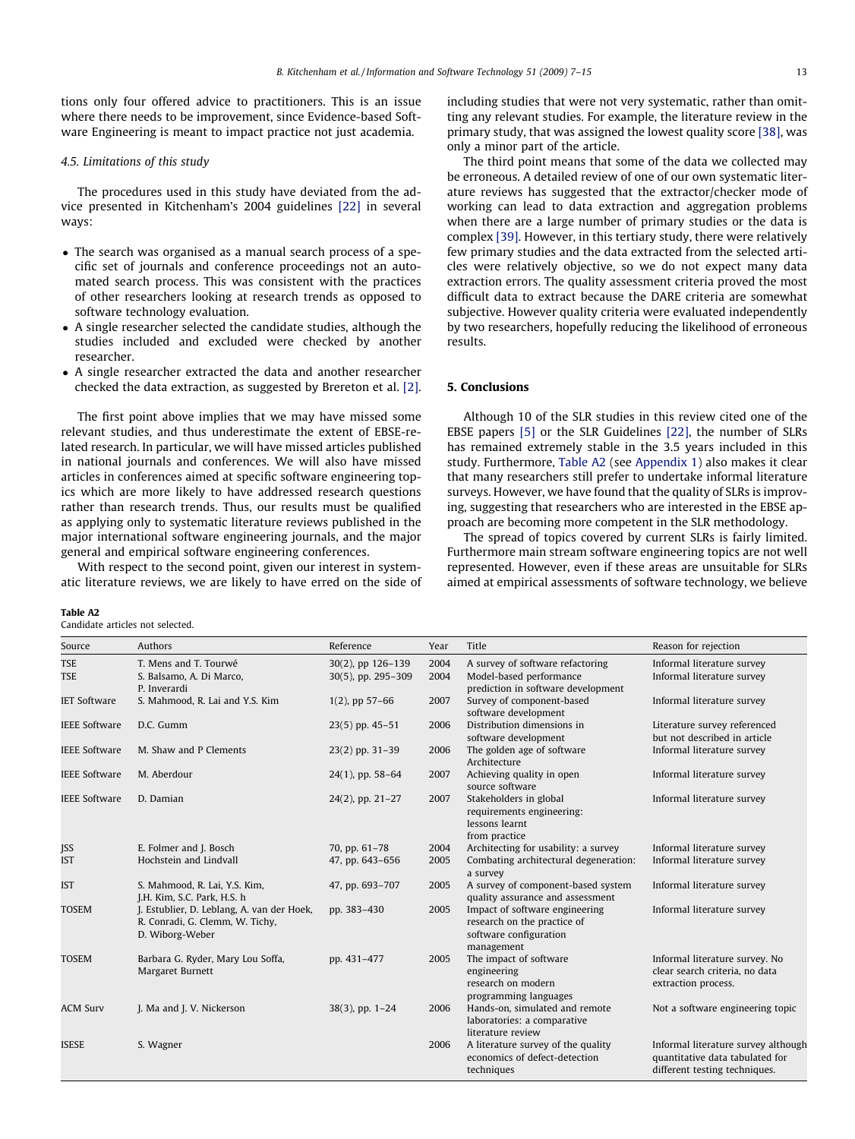tions only four offered advice to practitioners. This is an issue where there needs to be improvement, since Evidence-based Software Engineering is meant to impact practice not just academia.

#### 4.5. Limitations of this study

The procedures used in this study have deviated from the advice presented in Kitchenham's 2004 guidelines [\[22\]](#page-8-0) in several ways:

- The search was organised as a manual search process of a specific set of journals and conference proceedings not an automated search process. This was consistent with the practices of other researchers looking at research trends as opposed to software technology evaluation.
- A single researcher selected the candidate studies, although the studies included and excluded were checked by another researcher.
- A single researcher extracted the data and another researcher checked the data extraction, as suggested by Brereton et al. [\[2\].](#page-8-0)

The first point above implies that we may have missed some relevant studies, and thus underestimate the extent of EBSE-related research. In particular, we will have missed articles published in national journals and conferences. We will also have missed articles in conferences aimed at specific software engineering topics which are more likely to have addressed research questions rather than research trends. Thus, our results must be qualified as applying only to systematic literature reviews published in the major international software engineering journals, and the major general and empirical software engineering conferences.

With respect to the second point, given our interest in systematic literature reviews, we are likely to have erred on the side of

#### Table A2

Candidate articles not selected.

including studies that were not very systematic, rather than omitting any relevant studies. For example, the literature review in the primary study, that was assigned the lowest quality score [\[38\],](#page-8-0) was only a minor part of the article.

The third point means that some of the data we collected may be erroneous. A detailed review of one of our own systematic literature reviews has suggested that the extractor/checker mode of working can lead to data extraction and aggregation problems when there are a large number of primary studies or the data is complex [\[39\]](#page-8-0). However, in this tertiary study, there were relatively few primary studies and the data extracted from the selected articles were relatively objective, so we do not expect many data extraction errors. The quality assessment criteria proved the most difficult data to extract because the DARE criteria are somewhat subjective. However quality criteria were evaluated independently by two researchers, hopefully reducing the likelihood of erroneous results.

## 5. Conclusions

Although 10 of the SLR studies in this review cited one of the EBSE papers [\[5\]](#page-8-0) or the SLR Guidelines [\[22\],](#page-8-0) the number of SLRs has remained extremely stable in the 3.5 years included in this study. Furthermore, [Table A2](#page-6-0) (see Appendix 1) also makes it clear that many researchers still prefer to undertake informal literature surveys. However, we have found that the quality of SLRs is improving, suggesting that researchers who are interested in the EBSE approach are becoming more competent in the SLR methodology.

The spread of topics covered by current SLRs is fairly limited. Furthermore main stream software engineering topics are not well represented. However, even if these areas are unsuitable for SLRs aimed at empirical assessments of software technology, we believe

<span id="page-6-0"></span>

| Source               | Authors                                                                                          | Reference             | Year | Title                                                                                                 | Reason for rejection                                                                                    |
|----------------------|--------------------------------------------------------------------------------------------------|-----------------------|------|-------------------------------------------------------------------------------------------------------|---------------------------------------------------------------------------------------------------------|
| <b>TSE</b>           | T. Mens and T. Tourwé                                                                            | 30(2), pp 126-139     | 2004 | A survey of software refactoring                                                                      | Informal literature survey                                                                              |
| <b>TSE</b>           | S. Balsamo, A. Di Marco,                                                                         | $30(5)$ , pp. 295-309 | 2004 | Model-based performance                                                                               | Informal literature survey                                                                              |
|                      | P. Inverardi                                                                                     |                       |      | prediction in software development                                                                    |                                                                                                         |
| <b>IET Software</b>  | S. Mahmood, R. Lai and Y.S. Kim                                                                  | $1(2)$ , pp 57-66     | 2007 | Survey of component-based<br>software development                                                     | Informal literature survey                                                                              |
| <b>IEEE Software</b> | D.C. Gumm                                                                                        | $23(5)$ pp. 45-51     | 2006 | Distribution dimensions in<br>software development                                                    | Literature survey referenced<br>but not described in article                                            |
| <b>IEEE Software</b> | M. Shaw and P Clements                                                                           | $23(2)$ pp. 31-39     | 2006 | The golden age of software<br>Architecture                                                            | Informal literature survey                                                                              |
| <b>IEEE Software</b> | M. Aberdour                                                                                      | 24(1), pp. 58-64      | 2007 | Achieving quality in open<br>source software                                                          | Informal literature survey                                                                              |
| <b>IEEE Software</b> | D. Damian                                                                                        | 24(2), pp. 21-27      | 2007 | Stakeholders in global<br>requirements engineering:<br>lessons learnt<br>from practice                | Informal literature survey                                                                              |
| <b>JSS</b>           | E. Folmer and J. Bosch                                                                           | 70, pp. 61-78         | 2004 | Architecting for usability: a survey                                                                  | Informal literature survey                                                                              |
| <b>IST</b>           | Hochstein and Lindvall                                                                           | 47, pp. 643-656       | 2005 | Combating architectural degeneration:<br>a survey                                                     | Informal literature survey                                                                              |
| <b>IST</b>           | S. Mahmood, R. Lai, Y.S. Kim,<br>J.H. Kim, S.C. Park, H.S. h                                     | 47, pp. 693-707       | 2005 | A survey of component-based system<br>quality assurance and assessment                                | Informal literature survey                                                                              |
| <b>TOSEM</b>         | J. Estublier, D. Leblang, A. van der Hoek,<br>R. Conradi, G. Clemm, W. Tichy,<br>D. Wiborg-Weber | pp. 383-430           | 2005 | Impact of software engineering<br>research on the practice of<br>software configuration<br>management | Informal literature survey                                                                              |
| <b>TOSEM</b>         | Barbara G. Ryder, Mary Lou Soffa,<br>Margaret Burnett                                            | pp. 431-477           | 2005 | The impact of software<br>engineering<br>research on modern<br>programming languages                  | Informal literature survey. No<br>clear search criteria, no data<br>extraction process.                 |
| <b>ACM Surv</b>      | J. Ma and J. V. Nickerson                                                                        | $38(3)$ , pp. 1-24    | 2006 | Hands-on, simulated and remote<br>laboratories: a comparative<br>literature review                    | Not a software engineering topic                                                                        |
| <b>ISESE</b>         | S. Wagner                                                                                        |                       | 2006 | A literature survey of the quality<br>economics of defect-detection<br>techniques                     | Informal literature survey although<br>quantitative data tabulated for<br>different testing techniques. |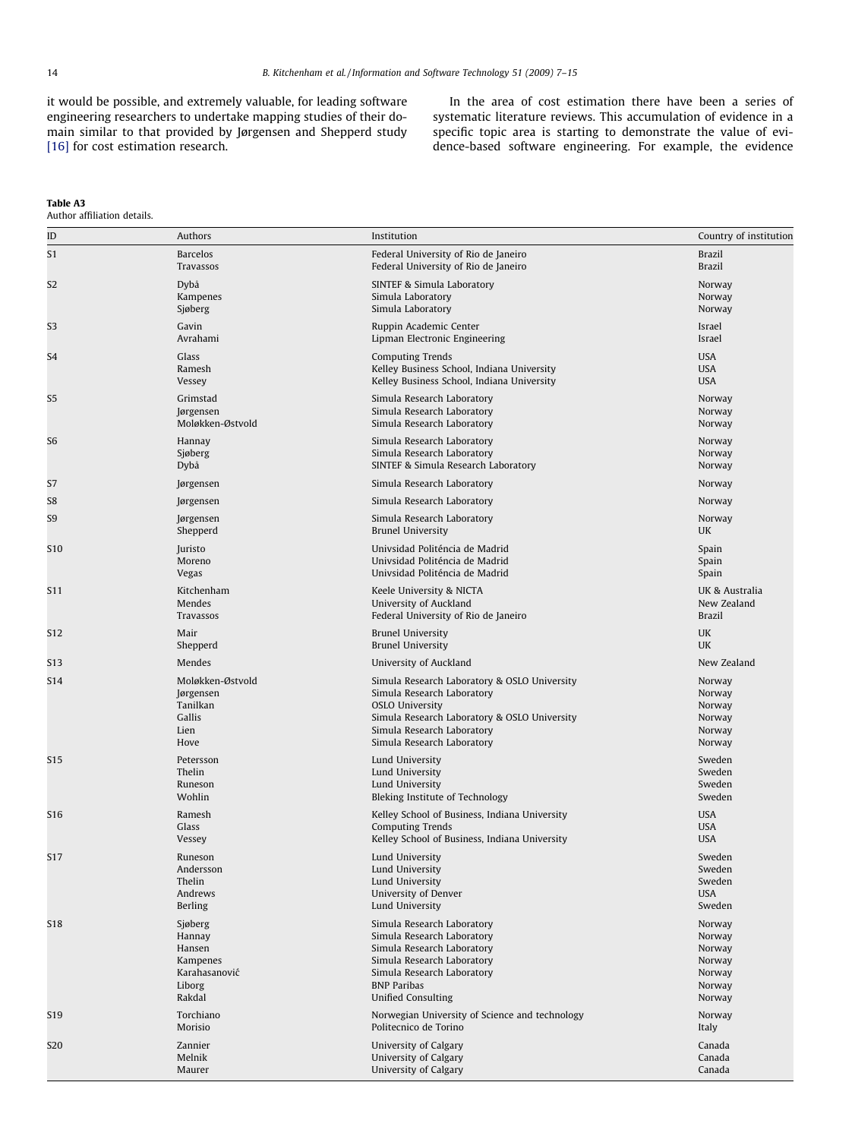it would be possible, and extremely valuable, for leading software engineering researchers to undertake mapping studies of their domain similar to that provided by Jørgensen and Shepperd study [\[16\]](#page-8-0) for cost estimation research.

In the area of cost estimation there have been a series of systematic literature reviews. This accumulation of evidence in a specific topic area is starting to demonstrate the value of evidence-based software engineering. For example, the evidence

### Table A3

Author affiliation details.

| ID             | Authors          | Institution                                    | Country of institution |
|----------------|------------------|------------------------------------------------|------------------------|
| S <sub>1</sub> | <b>Barcelos</b>  | Federal University of Rio de Janeiro           | <b>Brazil</b>          |
|                | Travassos        | Federal University of Rio de Janeiro           | <b>Brazil</b>          |
| S <sub>2</sub> | Dybå             | SINTEF & Simula Laboratory                     | Norway                 |
|                | Kampenes         | Simula Laboratory                              | Norway                 |
|                | Sjøberg          | Simula Laboratory                              | Norway                 |
| S3             | Gavin            | Ruppin Academic Center                         | Israel                 |
|                | Avrahami         | Lipman Electronic Engineering                  | Israel                 |
| S4             | Glass            | <b>Computing Trends</b>                        | <b>USA</b>             |
|                | Ramesh           | Kelley Business School, Indiana University     | <b>USA</b>             |
|                | Vessey           | Kelley Business School, Indiana University     | <b>USA</b>             |
| S5             | Grimstad         | Simula Research Laboratory                     | Norway                 |
|                | Jørgensen        | Simula Research Laboratory                     | Norway                 |
|                | Moløkken-Østvold | Simula Research Laboratory                     | Norway                 |
| S6             | Hannay           | Simula Research Laboratory                     | Norway                 |
|                | Sjøberg          | Simula Research Laboratory                     | Norway                 |
|                | Dybå             | SINTEF & Simula Research Laboratory            | Norway                 |
| S7             | Jørgensen        | Simula Research Laboratory                     | Norway                 |
| S8             | Jørgensen        | Simula Research Laboratory                     | Norway                 |
| S9             | Jørgensen        | Simula Research Laboratory                     | Norway                 |
|                | Shepperd         | <b>Brunel University</b>                       | UK                     |
| S10            | Juristo          | Univsidad Politéncia de Madrid                 | Spain                  |
|                | Moreno           | Univsidad Politéncia de Madrid                 | Spain                  |
|                | Vegas            | Univsidad Politéncia de Madrid                 | Spain                  |
| S11            | Kitchenham       | Keele University & NICTA                       | UK & Australia         |
|                | Mendes           | University of Auckland                         | New Zealand            |
|                | Travassos        | Federal University of Rio de Janeiro           | <b>Brazil</b>          |
| S12            | Mair             | <b>Brunel University</b>                       | <b>UK</b>              |
|                | Shepperd         | <b>Brunel University</b>                       | <b>UK</b>              |
| S13            | Mendes           | University of Auckland                         | New Zealand            |
| S14            | Moløkken-Østvold | Simula Research Laboratory & OSLO University   | Norway                 |
|                | Jørgensen        | Simula Research Laboratory                     | Norway                 |
|                | Tanilkan         | <b>OSLO University</b>                         | Norway                 |
|                | Gallis           | Simula Research Laboratory & OSLO University   | Norway                 |
|                | Lien             | Simula Research Laboratory                     | Norway                 |
|                | Hove             | Simula Research Laboratory                     | Norway                 |
| S15            | Petersson        | Lund University                                | Sweden                 |
|                | Thelin           | Lund University                                | Sweden                 |
|                | Runeson          | Lund University                                | Sweden                 |
|                | Wohlin           | Bleking Institute of Technology                | Sweden                 |
| S16            | Ramesh           | Kelley School of Business, Indiana University  | <b>USA</b>             |
|                | Glass            | <b>Computing Trends</b>                        | <b>USA</b>             |
|                | Vessey           | Kelley School of Business, Indiana University  | <b>USA</b>             |
| S17            | Runeson          | Lund University                                | Sweden                 |
|                | Andersson        | Lund University                                | Sweden                 |
|                | Thelin           | Lund University                                | Sweden                 |
|                | Andrews          | University of Denver                           | <b>USA</b>             |
|                | <b>Berling</b>   | Lund University                                | Sweden                 |
| S18            | Sjøberg          | Simula Research Laboratory                     | Norway                 |
|                | Hannay           | Simula Research Laboratory                     | Norway                 |
|                | Hansen           | Simula Research Laboratory                     | Norway                 |
|                | Kampenes         | Simula Research Laboratory                     | Norway                 |
|                | Karahasanović    | Simula Research Laboratory                     | Norway                 |
|                | Liborg           | <b>BNP Paribas</b>                             | Norway                 |
|                | Rakdal           | <b>Unified Consulting</b>                      | Norway                 |
| S19            | Torchiano        | Norwegian University of Science and technology | Norway                 |
|                | Morisio          | Politecnico de Torino                          | Italy                  |
| S20            | Zannier          | University of Calgary                          | Canada                 |
|                | Melnik           | University of Calgary                          | Canada                 |
|                | Maurer           | University of Calgary                          | Canada                 |